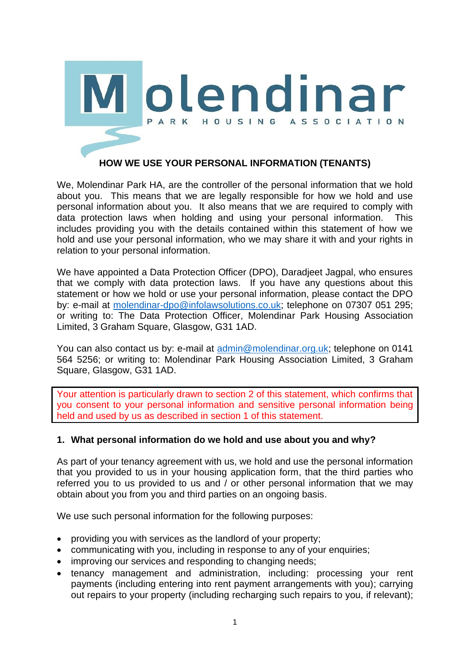

# **HOW WE USE YOUR PERSONAL INFORMATION (TENANTS)**

We, Molendinar Park HA, are the controller of the personal information that we hold about you. This means that we are legally responsible for how we hold and use personal information about you. It also means that we are required to comply with data protection laws when holding and using your personal information. This includes providing you with the details contained within this statement of how we hold and use your personal information, who we may share it with and your rights in relation to your personal information.

We have appointed a Data Protection Officer (DPO), Daradjeet Jagpal, who ensures that we comply with data protection laws. If you have any questions about this statement or how we hold or use your personal information, please contact the DPO by: e-mail at [molendinar-dpo@infolawsolutions.co.uk;](mailto:molendinar-dpo@infolawsolutions.co.uk) telephone on 07307 051 295; or writing to: The Data Protection Officer, Molendinar Park Housing Association Limited, 3 Graham Square, Glasgow, G31 1AD.

You can also contact us by: e-mail at [admin@molendinar.org.uk;](mailto:admin@molendinar.org.uk) telephone on 0141 564 5256; or writing to: Molendinar Park Housing Association Limited, 3 Graham Square, Glasgow, G31 1AD.

Your attention is particularly drawn to section 2 of this statement, which confirms that you consent to your personal information and sensitive personal information being held and used by us as described in section 1 of this statement.

# **1. What personal information do we hold and use about you and why?**

As part of your tenancy agreement with us, we hold and use the personal information that you provided to us in your housing application form, that the third parties who referred you to us provided to us and / or other personal information that we may obtain about you from you and third parties on an ongoing basis.

We use such personal information for the following purposes:

- providing you with services as the landlord of your property;
- communicating with you, including in response to any of your enquiries:
- improving our services and responding to changing needs;
- tenancy management and administration, including: processing your rent payments (including entering into rent payment arrangements with you); carrying out repairs to your property (including recharging such repairs to you, if relevant);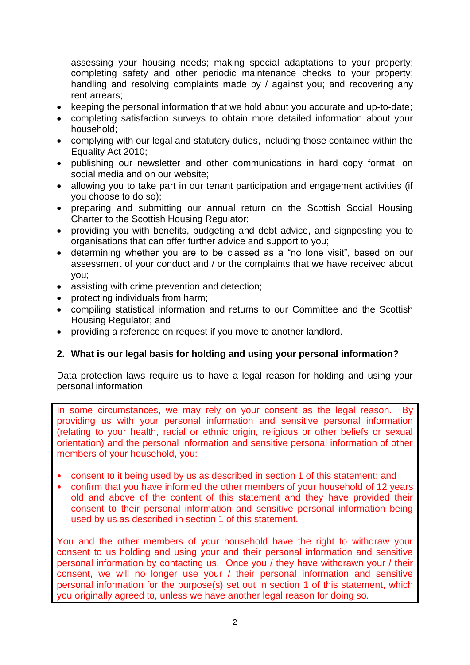assessing your housing needs; making special adaptations to your property; completing safety and other periodic maintenance checks to your property; handling and resolving complaints made by / against you; and recovering any rent arrears;

- keeping the personal information that we hold about you accurate and up-to-date;
- completing satisfaction surveys to obtain more detailed information about your household;
- complying with our legal and statutory duties, including those contained within the Equality Act 2010;
- publishing our newsletter and other communications in hard copy format, on social media and on our website;
- allowing you to take part in our tenant participation and engagement activities (if you choose to do so);
- preparing and submitting our annual return on the Scottish Social Housing Charter to the Scottish Housing Regulator;
- providing you with benefits, budgeting and debt advice, and signposting you to organisations that can offer further advice and support to you;
- determining whether you are to be classed as a "no lone visit", based on our assessment of your conduct and / or the complaints that we have received about you;
- assisting with crime prevention and detection;
- protecting individuals from harm;
- compiling statistical information and returns to our Committee and the Scottish Housing Regulator; and
- providing a reference on request if you move to another landlord.

# **2. What is our legal basis for holding and using your personal information?**

Data protection laws require us to have a legal reason for holding and using your personal information.

In some circumstances, we may rely on your consent as the legal reason. By providing us with your personal information and sensitive personal information (relating to your health, racial or ethnic origin, religious or other beliefs or sexual orientation) and the personal information and sensitive personal information of other members of your household, you:

- consent to it being used by us as described in section 1 of this statement; and
- confirm that you have informed the other members of your household of 12 years old and above of the content of this statement and they have provided their consent to their personal information and sensitive personal information being used by us as described in section 1 of this statement.

You and the other members of your household have the right to withdraw your consent to us holding and using your and their personal information and sensitive personal information by contacting us. Once you / they have withdrawn your / their consent, we will no longer use your / their personal information and sensitive personal information for the purpose(s) set out in section 1 of this statement, which you originally agreed to, unless we have another legal reason for doing so.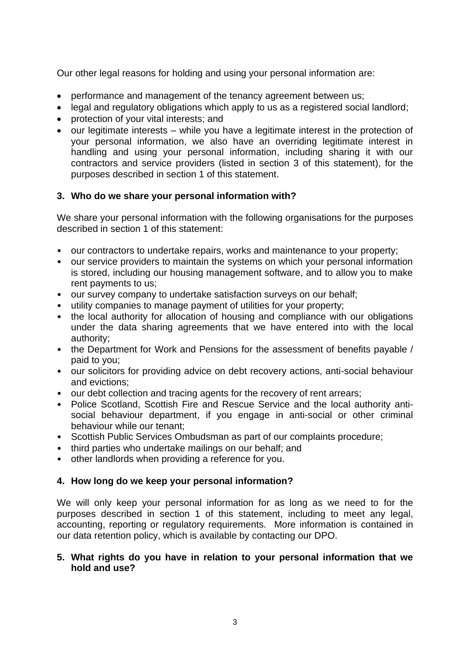Our other legal reasons for holding and using your personal information are:

- performance and management of the tenancy agreement between us;
- legal and regulatory obligations which apply to us as a registered social landlord;
- protection of your vital interests; and
- our legitimate interests while you have a legitimate interest in the protection of your personal information, we also have an overriding legitimate interest in handling and using your personal information, including sharing it with our contractors and service providers (listed in section 3 of this statement), for the purposes described in section 1 of this statement.

#### **3. Who do we share your personal information with?**

We share your personal information with the following organisations for the purposes described in section 1 of this statement:

- our contractors to undertake repairs, works and maintenance to your property;
- our service providers to maintain the systems on which your personal information is stored, including our housing management software, and to allow you to make rent payments to us;
- our survey company to undertake satisfaction surveys on our behalf;
- utility companies to manage payment of utilities for your property;
- the local authority for allocation of housing and compliance with our obligations under the data sharing agreements that we have entered into with the local authority;
- the Department for Work and Pensions for the assessment of benefits payable / paid to you;
- our solicitors for providing advice on debt recovery actions, anti-social behaviour and evictions;
- our debt collection and tracing agents for the recovery of rent arrears;
- Police Scotland, Scottish Fire and Rescue Service and the local authority antisocial behaviour department, if you engage in anti-social or other criminal behaviour while our tenant;
- Scottish Public Services Ombudsman as part of our complaints procedure;
- third parties who undertake mailings on our behalf; and
- other landlords when providing a reference for you.

# **4. How long do we keep your personal information?**

We will only keep your personal information for as long as we need to for the purposes described in section 1 of this statement, including to meet any legal, accounting, reporting or regulatory requirements. More information is contained in our data retention policy, which is available by contacting our DPO.

#### **5. What rights do you have in relation to your personal information that we hold and use?**